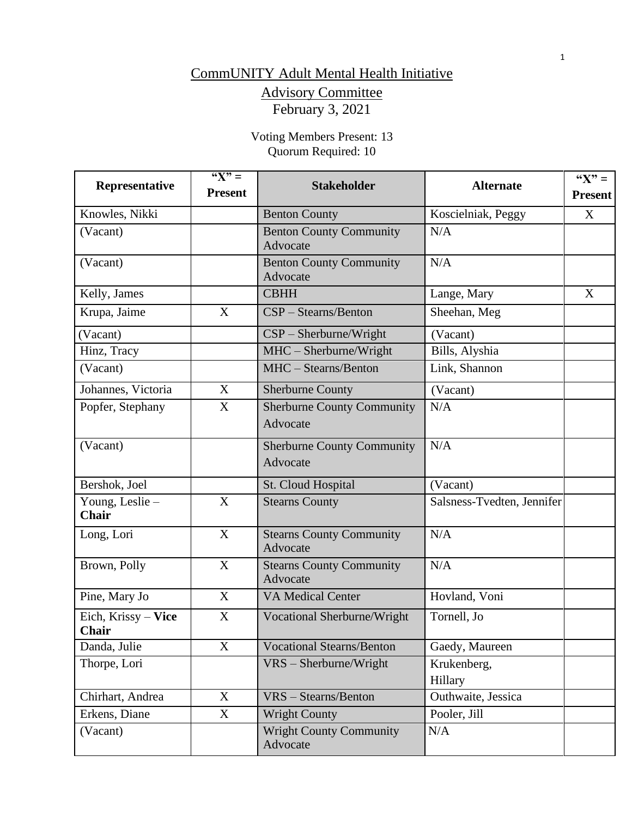# CommUNITY Adult Mental Health Initiative

# Advisory Committee February 3, 2021

Voting Members Present: 13 Quorum Required: 10

| Representative                      | $\sqrt[46]{x}$ =<br><b>Present</b> | <b>Stakeholder</b>                            | <b>Alternate</b>           | " $X" =$<br><b>Present</b> |
|-------------------------------------|------------------------------------|-----------------------------------------------|----------------------------|----------------------------|
| Knowles, Nikki                      |                                    | <b>Benton County</b>                          | Koscielniak, Peggy         | X                          |
| (Vacant)                            |                                    | <b>Benton County Community</b><br>Advocate    | N/A                        |                            |
| (Vacant)                            |                                    | <b>Benton County Community</b><br>Advocate    | N/A                        |                            |
| Kelly, James                        |                                    | <b>CBHH</b>                                   | Lange, Mary                | X                          |
| Krupa, Jaime                        | X                                  | CSP - Stearns/Benton                          | Sheehan, Meg               |                            |
| (Vacant)                            |                                    | $CSP - Sherburne/Wright$                      | (Vacant)                   |                            |
| Hinz, Tracy                         |                                    | $MHC - Sherburne/Wright$                      | Bills, Alyshia             |                            |
| (Vacant)                            |                                    | MHC - Stearns/Benton                          | Link, Shannon              |                            |
| Johannes, Victoria                  | X                                  | <b>Sherburne County</b>                       | (Vacant)                   |                            |
| Popfer, Stephany                    | X                                  | <b>Sherburne County Community</b><br>Advocate | N/A                        |                            |
| (Vacant)                            |                                    | <b>Sherburne County Community</b><br>Advocate | N/A                        |                            |
| Bershok, Joel                       |                                    | St. Cloud Hospital                            | (Vacant)                   |                            |
| Young, Leslie -<br><b>Chair</b>     | X                                  | <b>Stearns County</b>                         | Salsness-Tvedten, Jennifer |                            |
| Long, Lori                          | X                                  | <b>Stearns County Community</b><br>Advocate   | N/A                        |                            |
| Brown, Polly                        | X                                  | <b>Stearns County Community</b><br>Advocate   | N/A                        |                            |
| Pine, Mary Jo                       | X                                  | <b>VA Medical Center</b>                      | Hovland, Voni              |                            |
| Eich, Krissy - Vice<br><b>Chair</b> | X                                  | Vocational Sherburne/Wright                   | Tornell, Jo                |                            |
| Danda, Julie                        | $\mathbf X$                        | <b>Vocational Stearns/Benton</b>              | Gaedy, Maureen             |                            |
| Thorpe, Lori                        |                                    | $VRS - Sherburne/Wright$                      | Krukenberg,<br>Hillary     |                            |
| Chirhart, Andrea                    | X                                  | VRS - Stearns/Benton                          | Outhwaite, Jessica         |                            |
| Erkens, Diane                       | $\boldsymbol{\mathrm{X}}$          | <b>Wright County</b>                          | Pooler, Jill               |                            |
| (Vacant)                            |                                    | <b>Wright County Community</b><br>Advocate    | N/A                        |                            |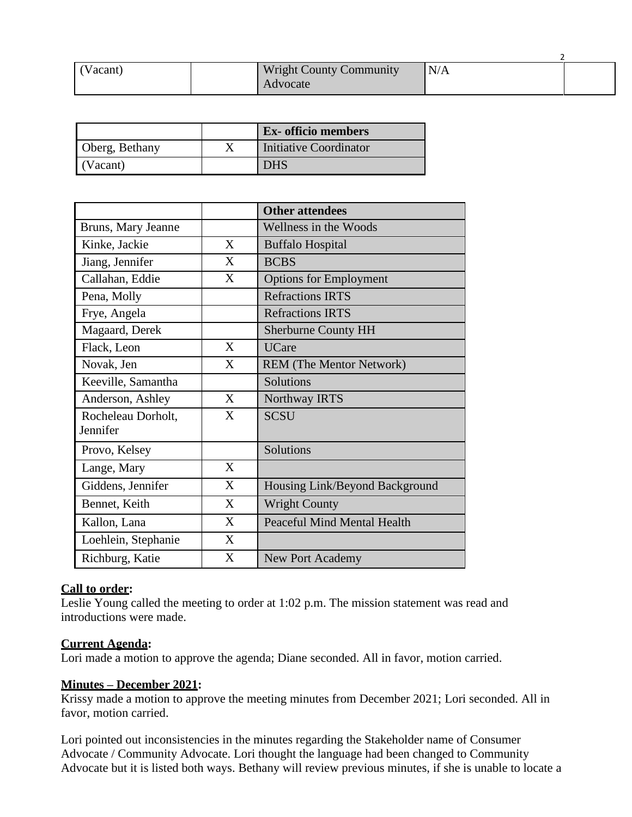| (Vacant) | <b>Wright County Community</b><br>Advocate | N/A |  |
|----------|--------------------------------------------|-----|--|

|                | <b>Ex-</b> officio members |
|----------------|----------------------------|
| Oberg, Bethany | Initiative Coordinator     |
| (Vacant)       | DHS                        |

|                                |   | <b>Other attendees</b>             |
|--------------------------------|---|------------------------------------|
| Bruns, Mary Jeanne             |   | Wellness in the Woods              |
| Kinke, Jackie                  | X | <b>Buffalo Hospital</b>            |
| Jiang, Jennifer                | X | <b>BCBS</b>                        |
| Callahan, Eddie                | X | <b>Options for Employment</b>      |
| Pena, Molly                    |   | <b>Refractions IRTS</b>            |
| Frye, Angela                   |   | <b>Refractions IRTS</b>            |
| Magaard, Derek                 |   | <b>Sherburne County HH</b>         |
| Flack, Leon                    | X | <b>UCare</b>                       |
| Novak, Jen                     | X | <b>REM</b> (The Mentor Network)    |
| Keeville, Samantha             |   | Solutions                          |
| Anderson, Ashley               | X | Northway IRTS                      |
| Rocheleau Dorholt,<br>Jennifer | X | <b>SCSU</b>                        |
| Provo, Kelsey                  |   | Solutions                          |
| Lange, Mary                    | X |                                    |
| Giddens, Jennifer              | X | Housing Link/Beyond Background     |
| Bennet, Keith                  | X | <b>Wright County</b>               |
| Kallon, Lana                   | X | <b>Peaceful Mind Mental Health</b> |
| Loehlein, Stephanie            | X |                                    |
| Richburg, Katie                | X | New Port Academy                   |

#### **Call to order:**

Leslie Young called the meeting to order at 1:02 p.m. The mission statement was read and introductions were made.

#### **Current Agenda:**

Lori made a motion to approve the agenda; Diane seconded. All in favor, motion carried.

# **Minutes – December 2021:**

Krissy made a motion to approve the meeting minutes from December 2021; Lori seconded. All in favor, motion carried.

Lori pointed out inconsistencies in the minutes regarding the Stakeholder name of Consumer Advocate / Community Advocate. Lori thought the language had been changed to Community Advocate but it is listed both ways. Bethany will review previous minutes, if she is unable to locate a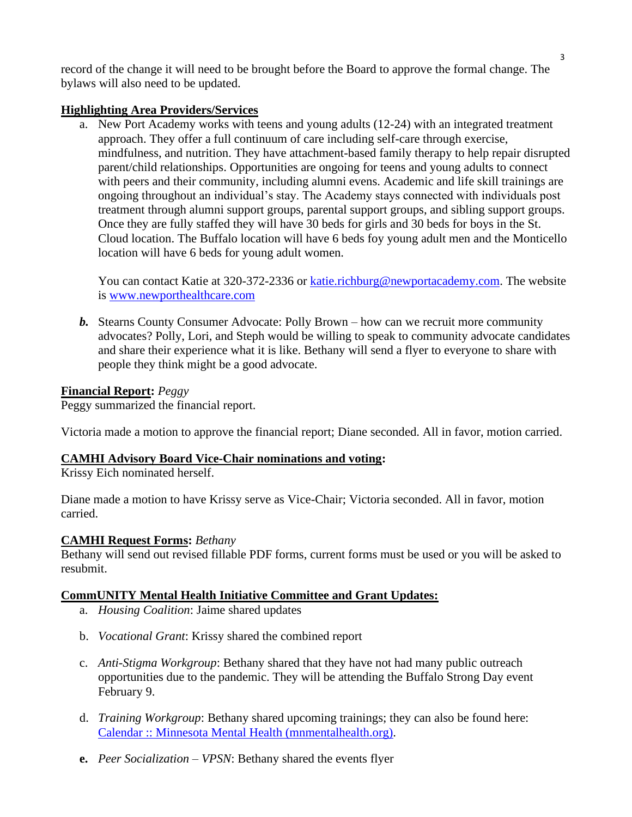record of the change it will need to be brought before the Board to approve the formal change. The bylaws will also need to be updated.

## **Highlighting Area Providers/Services**

a. New Port Academy works with teens and young adults (12-24) with an integrated treatment approach. They offer a full continuum of care including self-care through exercise, mindfulness, and nutrition. They have attachment-based family therapy to help repair disrupted parent/child relationships. Opportunities are ongoing for teens and young adults to connect with peers and their community, including alumni evens. Academic and life skill trainings are ongoing throughout an individual's stay. The Academy stays connected with individuals post treatment through alumni support groups, parental support groups, and sibling support groups. Once they are fully staffed they will have 30 beds for girls and 30 beds for boys in the St. Cloud location. The Buffalo location will have 6 beds foy young adult men and the Monticello location will have 6 beds for young adult women.

You can contact Katie at 320-372-2336 or [katie.richburg@newportacademy.com.](mailto:katie.richburg@newportacademy.com) The website is [www.newporthealthcare.com](http://www.newporthealthcare.com/)

*b.* Stearns County Consumer Advocate: Polly Brown – how can we recruit more community advocates? Polly, Lori, and Steph would be willing to speak to community advocate candidates and share their experience what it is like. Bethany will send a flyer to everyone to share with people they think might be a good advocate.

## **Financial Report:** *Peggy*

Peggy summarized the financial report.

Victoria made a motion to approve the financial report; Diane seconded. All in favor, motion carried.

#### **CAMHI Advisory Board Vice-Chair nominations and voting:**

Krissy Eich nominated herself.

Diane made a motion to have Krissy serve as Vice-Chair; Victoria seconded. All in favor, motion carried.

#### **CAMHI Request Forms:** *Bethany*

Bethany will send out revised fillable PDF forms, current forms must be used or you will be asked to resubmit.

# **CommUNITY Mental Health Initiative Committee and Grant Updates:**

- a. *Housing Coalition*: Jaime shared updates
- b. *Vocational Grant*: Krissy shared the combined report
- c. *Anti-Stigma Workgroup*: Bethany shared that they have not had many public outreach opportunities due to the pandemic. They will be attending the Buffalo Strong Day event February 9.
- d. *Training Workgroup*: Bethany shared upcoming trainings; they can also be found here: [Calendar :: Minnesota Mental Health \(mnmentalhealth.org\).](http://mnmentalhealth.org/calendar)
- **e.** *Peer Socialization – VPSN*: Bethany shared the events flyer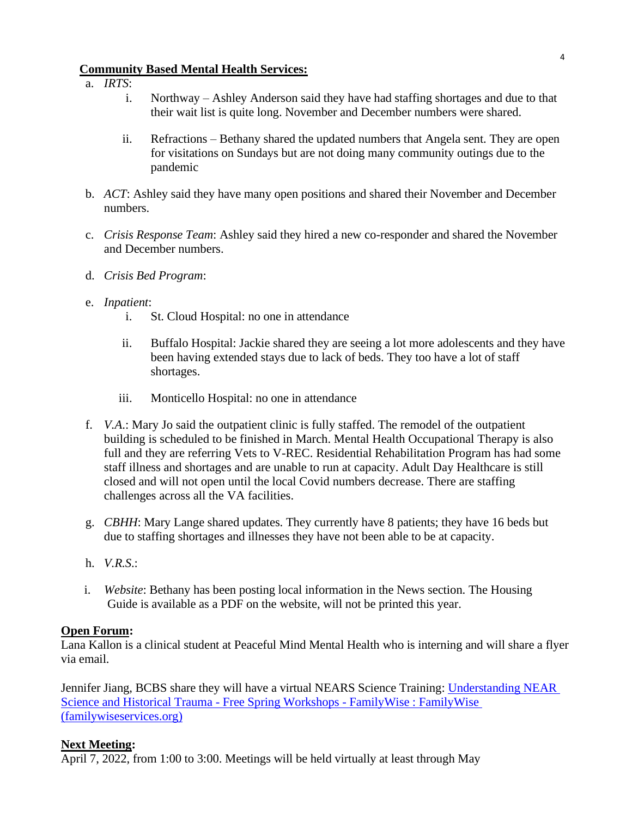#### **Community Based Mental Health Services:**

- a. *IRTS*:
	- i. Northway Ashley Anderson said they have had staffing shortages and due to that their wait list is quite long. November and December numbers were shared.
	- ii. Refractions Bethany shared the updated numbers that Angela sent. They are open for visitations on Sundays but are not doing many community outings due to the pandemic
- b. *ACT*: Ashley said they have many open positions and shared their November and December numbers.
- c. *Crisis Response Team*: Ashley said they hired a new co-responder and shared the November and December numbers.
- d. *Crisis Bed Program*:
- e. *Inpatient*:
	- i. St. Cloud Hospital: no one in attendance
	- ii. Buffalo Hospital: Jackie shared they are seeing a lot more adolescents and they have been having extended stays due to lack of beds. They too have a lot of staff shortages.
	- iii. Monticello Hospital: no one in attendance
- f. *V.A*.: Mary Jo said the outpatient clinic is fully staffed. The remodel of the outpatient building is scheduled to be finished in March. Mental Health Occupational Therapy is also full and they are referring Vets to V-REC. Residential Rehabilitation Program has had some staff illness and shortages and are unable to run at capacity. Adult Day Healthcare is still closed and will not open until the local Covid numbers decrease. There are staffing challenges across all the VA facilities.
- g. *CBHH*: Mary Lange shared updates. They currently have 8 patients; they have 16 beds but due to staffing shortages and illnesses they have not been able to be at capacity.
- h. *V.R.S*.:
- i. *Website*: Bethany has been posting local information in the News section. The Housing Guide is available as a PDF on the website, will not be printed this year.

#### **Open Forum:**

Lana Kallon is a clinical student at Peaceful Mind Mental Health who is interning and will share a flyer via email.

Jennifer Jiang, BCBS share they will have a virtual NEARS Science Training: [Understanding NEAR](https://familywiseservices.org/understanding-near-science-and-historical-trauma-free-workshop-coming-in-2022/)  [Science and Historical Trauma -](https://familywiseservices.org/understanding-near-science-and-historical-trauma-free-workshop-coming-in-2022/) Free Spring Workshops - FamilyWise : FamilyWise [\(familywiseservices.org\)](https://familywiseservices.org/understanding-near-science-and-historical-trauma-free-workshop-coming-in-2022/)

#### **Next Meeting:**

April 7, 2022, from 1:00 to 3:00. Meetings will be held virtually at least through May